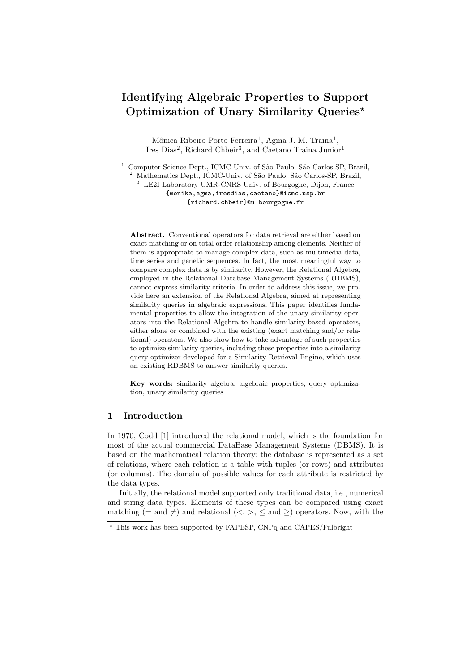# Identifying Algebraic Properties to Support Optimization of Unary Similarity Queries?

Mônica Ribeiro Porto Ferreira<sup>1</sup>, Agma J. M. Traina<sup>1</sup>, Ires Dias<sup>2</sup>, Richard Chbeir<sup>3</sup>, and Caetano Traina Junior<sup>1</sup>

<sup>1</sup> Computer Science Dept., ICMC-Univ. of São Paulo, São Carlos-SP, Brazil, Mathematics Dept., ICMC-Univ. of São Paulo, São Carlos-SP, Brazil, <sup>3</sup> LE2I Laboratory UMR-CNRS Univ. of Bourgogne, Dijon, France

> {monika,agma,iresdias,caetano}@icmc.usp.br {richard.chbeir}@u-bourgogne.fr

Abstract. Conventional operators for data retrieval are either based on exact matching or on total order relationship among elements. Neither of them is appropriate to manage complex data, such as multimedia data, time series and genetic sequences. In fact, the most meaningful way to compare complex data is by similarity. However, the Relational Algebra, employed in the Relational Database Management Systems (RDBMS), cannot express similarity criteria. In order to address this issue, we provide here an extension of the Relational Algebra, aimed at representing similarity queries in algebraic expressions. This paper identifies fundamental properties to allow the integration of the unary similarity operators into the Relational Algebra to handle similarity-based operators, either alone or combined with the existing (exact matching and/or relational) operators. We also show how to take advantage of such properties to optimize similarity queries, including these properties into a similarity query optimizer developed for a Similarity Retrieval Engine, which uses an existing RDBMS to answer similarity queries.

Key words: similarity algebra, algebraic properties, query optimization, unary similarity queries

## 1 Introduction

In 1970, Codd [1] introduced the relational model, which is the foundation for most of the actual commercial DataBase Management Systems (DBMS). It is based on the mathematical relation theory: the database is represented as a set of relations, where each relation is a table with tuples (or rows) and attributes (or columns). The domain of possible values for each attribute is restricted by the data types.

Initially, the relational model supported only traditional data, i.e., numerical and string data types. Elements of these types can be compared using exact matching (= and  $\neq$ ) and relational (<, >,  $\leq$  and  $\geq$ ) operators. Now, with the

<sup>?</sup> This work has been supported by FAPESP, CNPq and CAPES/Fulbright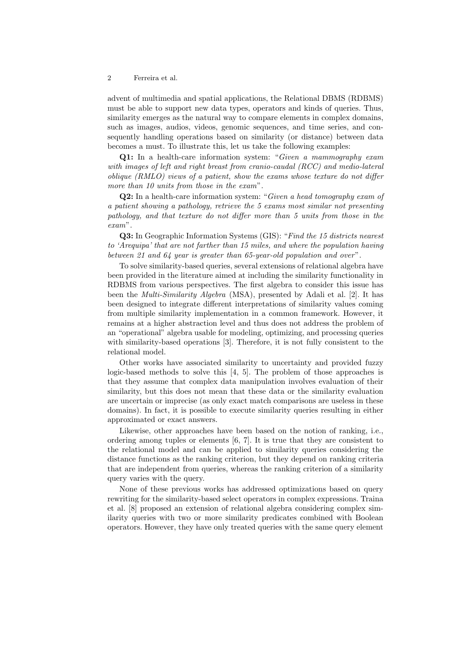advent of multimedia and spatial applications, the Relational DBMS (RDBMS) must be able to support new data types, operators and kinds of queries. Thus, similarity emerges as the natural way to compare elements in complex domains, such as images, audios, videos, genomic sequences, and time series, and consequently handling operations based on similarity (or distance) between data becomes a must. To illustrate this, let us take the following examples:

Q1: In a health-care information system: "Given a mammography exam with images of left and right breast from cranio-caudal (RCC) and medio-lateral oblique (RMLO) views of a patient, show the exams whose texture do not differ more than 10 units from those in the exam".

Q2: In a health-care information system: "Given a head tomography exam of a patient showing a pathology, retrieve the 5 exams most similar not presenting pathology, and that texture do not differ more than 5 units from those in the exam".

Q3: In Geographic Information Systems (GIS): "Find the 15 districts nearest to 'Arequipa' that are not farther than 15 miles, and where the population having between 21 and 64 year is greater than 65-year-old population and over".

To solve similarity-based queries, several extensions of relational algebra have been provided in the literature aimed at including the similarity functionality in RDBMS from various perspectives. The first algebra to consider this issue has been the Multi-Similarity Algebra (MSA), presented by Adali et al. [2]. It has been designed to integrate different interpretations of similarity values coming from multiple similarity implementation in a common framework. However, it remains at a higher abstraction level and thus does not address the problem of an "operational" algebra usable for modeling, optimizing, and processing queries with similarity-based operations [3]. Therefore, it is not fully consistent to the relational model.

Other works have associated similarity to uncertainty and provided fuzzy logic-based methods to solve this [4, 5]. The problem of those approaches is that they assume that complex data manipulation involves evaluation of their similarity, but this does not mean that these data or the similarity evaluation are uncertain or imprecise (as only exact match comparisons are useless in these domains). In fact, it is possible to execute similarity queries resulting in either approximated or exact answers.

Likewise, other approaches have been based on the notion of ranking, i.e., ordering among tuples or elements [6, 7]. It is true that they are consistent to the relational model and can be applied to similarity queries considering the distance functions as the ranking criterion, but they depend on ranking criteria that are independent from queries, whereas the ranking criterion of a similarity query varies with the query.

None of these previous works has addressed optimizations based on query rewriting for the similarity-based select operators in complex expressions. Traina et al. [8] proposed an extension of relational algebra considering complex similarity queries with two or more similarity predicates combined with Boolean operators. However, they have only treated queries with the same query element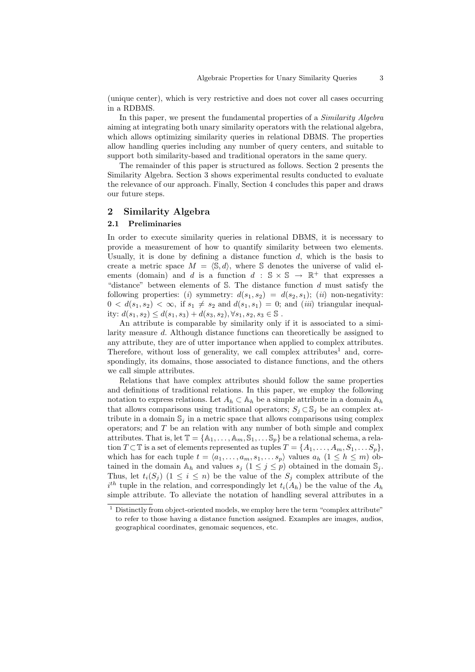(unique center), which is very restrictive and does not cover all cases occurring in a RDBMS.

In this paper, we present the fundamental properties of a Similarity Algebra aiming at integrating both unary similarity operators with the relational algebra, which allows optimizing similarity queries in relational DBMS. The properties allow handling queries including any number of query centers, and suitable to support both similarity-based and traditional operators in the same query.

The remainder of this paper is structured as follows. Section 2 presents the Similarity Algebra. Section 3 shows experimental results conducted to evaluate the relevance of our approach. Finally, Section 4 concludes this paper and draws our future steps.

## 2 Similarity Algebra

## 2.1 Preliminaries

In order to execute similarity queries in relational DBMS, it is necessary to provide a measurement of how to quantify similarity between two elements. Usually, it is done by defining a distance function  $d$ , which is the basis to create a metric space  $M = \langle \mathbb{S}, d \rangle$ , where S denotes the universe of valid elements (domain) and d is a function  $d : \mathbb{S} \times \mathbb{S} \to \mathbb{R}^+$  that expresses a "distance" between elements of  $S$ . The distance function d must satisfy the following properties: (i) symmetry:  $d(s_1, s_2) = d(s_2, s_1)$ ; (ii) non-negativity:  $0 < d(s_1, s_2) < \infty$ , if  $s_1 \neq s_2$  and  $d(s_1, s_1) = 0$ ; and *(iii)* triangular inequality:  $d(s_1, s_2) \leq d(s_1, s_3) + d(s_3, s_2), \forall s_1, s_2, s_3 \in \mathbb{S}$ .

An attribute is comparable by similarity only if it is associated to a similarity measure d. Although distance functions can theoretically be assigned to any attribute, they are of utter importance when applied to complex attributes. Therefore, without loss of generality, we call complex attributes<sup>1</sup> and, correspondingly, its domains, those associated to distance functions, and the others we call simple attributes.

Relations that have complex attributes should follow the same properties and definitions of traditional relations. In this paper, we employ the following notation to express relations. Let  $A_h \subset A_h$  be a simple attribute in a domain  $A_h$ that allows comparisons using traditional operators;  $S_i \subset \mathbb{S}_i$  be an complex attribute in a domain  $\mathbb{S}_i$  in a metric space that allows comparisons using complex operators; and  $T$  be an relation with any number of both simple and complex attributes. That is, let  $\mathbb{T} = {\mathbb{A}_1, \ldots, \mathbb{A}_m, \mathbb{S}_1, \ldots, \mathbb{S}_p}$  be a relational schema, a relation  $T \subset \mathbb{T}$  is a set of elements represented as tuples  $T = \{A_1, \ldots, A_m, S_1, \ldots S_p\},\$ which has for each tuple  $t = \langle a_1, \ldots, a_m, s_1, \ldots s_p \rangle$  values  $a_h$   $(1 \leq h \leq m)$  obtained in the domain  $A_h$  and values  $s_i$   $(1 \leq j \leq p)$  obtained in the domain  $\mathbb{S}_i$ . Thus, let  $t_i(S_i)$   $(1 \leq i \leq n)$  be the value of the  $S_i$  complex attribute of the  $i^{th}$  tuple in the relation, and correspondingly let  $t_i(A_h)$  be the value of the  $A_h$ simple attribute. To alleviate the notation of handling several attributes in a

 $1$  Distinctly from object-oriented models, we employ here the term "complex attribute" to refer to those having a distance function assigned. Examples are images, audios, geographical coordinates, genomaic sequences, etc.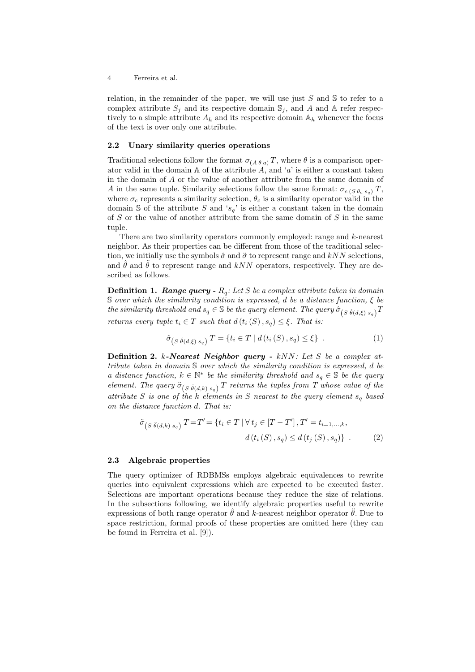relation, in the remainder of the paper, we will use just  $S$  and  $S$  to refer to a complex attribute  $S_j$  and its respective domain  $\mathbb{S}_j$ , and A and A refer respectively to a simple attribute  $A_h$  and its respective domain  $A_h$  whenever the focus of the text is over only one attribute.

#### 2.2 Unary similarity queries operations

Traditional selections follow the format  $\sigma_{(A \theta a)} T$ , where  $\theta$  is a comparison operator valid in the domain  $A$  of the attribute  $A$ , and 'a' is either a constant taken in the domain of A or the value of another attribute from the same domain of A in the same tuple. Similarity selections follow the same format:  $\sigma_{c(S \theta_c s_o)} T$ , where  $\sigma_c$  represents a similarity selection,  $\theta_c$  is a similarity operator valid in the domain S of the attribute S and ' $s_q$ ' is either a constant taken in the domain of  $S$  or the value of another attribute from the same domain of  $S$  in the same tuple.

There are two similarity operators commonly employed: range and k-nearest neighbor. As their properties can be different from those of the traditional selection, we initially use the symbols  $\hat{\sigma}$  and  $\hat{\sigma}$  to represent range and kNN selections, and  $\hat{\theta}$  and  $\hat{\theta}$  to represent range and kNN operators, respectively. They are described as follows.

**Definition 1. Range query -**  $R_q$ : Let S be a complex attribute taken in domain  $S$  over which the similarity condition is expressed, d be a distance function,  $\xi$  be the similarity threshold and  $s_q \in \mathbb{S}$  be the query element. The query  $\hat{\sigma}_{(S|\hat{\theta}(d,\xi)|s_q)}T$ returns every tuple  $t_i \in T$  such that  $d(t_i(S), s_q) \leq \xi$ . That is:

$$
\hat{\sigma}_{\left(S\hat{\theta}(d,\xi)\ s_q\right)}T = \{t_i \in T \mid d\left(t_i\left(S\right), s_q\right) \le \xi\} \tag{1}
$$

**Definition 2.** k-Nearest Neighbor query -  $kNN$ : Let S be a complex attribute taken in domain S over which the similarity condition is expressed, d be a distance function,  $k \in \mathbb{N}^*$  be the similarity threshold and  $s_q \in \mathbb{S}$  be the query element. The query  $\ddot{\sigma}_{(S \ddot{\theta}(d,k) \, s_q)}$  T returns the tuples from T whose value of the attribute S is one of the k elements in S nearest to the query element  $s_q$  based on the distance function d. That is:

$$
\ddot{\sigma}_{(S \ddot{\theta}(d,k) s_q)} T = T' = \{ t_i \in T \mid \forall t_j \in [T - T'], T' = t_{i=1,...,k}, \nd(t_i(S), s_q) \le d(t_j(S), s_q) \} .
$$
\n(2)

#### 2.3 Algebraic properties

The query optimizer of RDBMSs employs algebraic equivalences to rewrite queries into equivalent expressions which are expected to be executed faster. Selections are important operations because they reduce the size of relations. In the subsections following, we identify algebraic properties useful to rewrite expressions of both range operator  $\hat{\theta}$  and k-nearest neighbor operator  $\hat{\theta}$ . Due to space restriction, formal proofs of these properties are omitted here (they can be found in Ferreira et al. [9]).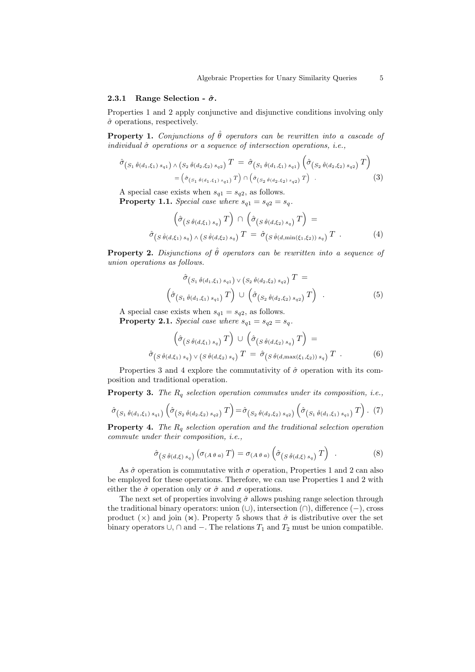#### 2.3.1 Range Selection -  $\hat{\sigma}$ .

Properties 1 and 2 apply conjunctive and disjunctive conditions involving only  $\hat{\sigma}$  operations, respectively.

**Property 1.** Conjunctions of  $\hat{\theta}$  operators can be rewritten into a cascade of individual  $\hat{\sigma}$  operations or a sequence of intersection operations, i.e.,

$$
\hat{\sigma}_{(S_1 \hat{\theta}(d_1,\xi_1) s_{q1}) \wedge (S_2 \hat{\theta}(d_2,\xi_2) s_{q2})} T = \hat{\sigma}_{(S_1 \hat{\theta}(d_1,\xi_1) s_{q1})} \left( \hat{\sigma}_{(S_2 \hat{\theta}(d_2,\xi_2) s_{q2})} T \right)
$$
\n
$$
= \left( \hat{\sigma}_{(S_1 \hat{\theta}(d_1,\xi_1) s_{q1})} T \right) \cap \left( \hat{\sigma}_{(S_2 \hat{\theta}(d_2,\xi_2) s_{q2})} T \right) . \tag{3}
$$

A special case exists when  $s_{q1} = s_{q2}$ , as follows.

**Property 1.1.** Special case where  $s_{q1} = s_{q2} = s_q$ .

$$
\left(\hat{\sigma}_{(S\hat{\theta}(d,\xi_1) s_q)}T\right) \cap \left(\hat{\sigma}_{(S\hat{\theta}(d,\xi_2) s_q)}T\right) =\n\hat{\sigma}_{(S\hat{\theta}(d,\xi_1) s_q)} \wedge \left(s\hat{\theta}(d,\xi_2) s_q\right) T = \hat{\sigma}_{(S\hat{\theta}(d,\min(\xi_1,\xi_2)) s_q)} T .
$$
\n(4)

**Property 2.** Disjunctions of  $\hat{\theta}$  operators can be rewritten into a sequence of union operations as follows.

$$
\hat{\sigma}_{(S_1 \hat{\theta}(d_1,\xi_1) s_{q1}) \vee (S_2 \hat{\theta}(d_2,\xi_2) s_{q2})} T =
$$
\n
$$
(\hat{\sigma}_{(S_1 \hat{\theta}(d_1,\xi_1) s_{q1})} T) \cup (\hat{\sigma}_{(S_2 \hat{\theta}(d_2,\xi_2) s_{q2})} T).
$$
\n(5)

A special case exists when  $s_{q1} = s_{q2}$ , as follows. **Property 2.1.** Special case where  $s_{q1} = s_{q2} = s_q$ .

$$
\left(\hat{\sigma}_{(S\hat{\theta}(d,\xi_1) s_q)}T\right) \cup \left(\hat{\sigma}_{(S\hat{\theta}(d,\xi_2) s_q)}T\right) =\n\hat{\sigma}_{(S\hat{\theta}(d,\xi_1) s_q)} \vee (S\hat{\theta}(d,\xi_2) s_q) T = \hat{\sigma}_{(S\hat{\theta}(d,\max(\xi_1,\xi_2)) s_q)} T
$$
\n(6)

Properties 3 and 4 explore the commutativity of  $\hat{\sigma}$  operation with its composition and traditional operation.

**Property 3.** The  $R_q$  selection operation commutes under its composition, i.e.,

$$
\hat{\sigma}_{(S_1 \hat{\theta}(d_1,\xi_1) s_{q1})}(\hat{\sigma}_{(S_2 \hat{\theta}(d_2,\xi_2) s_{q2})} T) = \hat{\sigma}_{(S_2 \hat{\theta}(d_2,\xi_2) s_{q2})}(\hat{\sigma}_{(S_1 \hat{\theta}(d_1,\xi_1) s_{q1})} T). (7)
$$

**Property 4.** The  $R_q$  selection operation and the traditional selection operation commute under their composition, i.e.,

$$
\hat{\sigma}_{(S \hat{\theta}(d,\xi) s_q)} (\sigma_{(A \theta a)} T) = \sigma_{(A \theta a)} (\hat{\sigma}_{(S \hat{\theta}(d,\xi) s_q)} T).
$$
 (8)

As  $\hat{\sigma}$  operation is commutative with  $\sigma$  operation, Properties 1 and 2 can also be employed for these operations. Therefore, we can use Properties 1 and 2 with either the  $\hat{\sigma}$  operation only or  $\hat{\sigma}$  and  $\sigma$  operations.

The next set of properties involving  $\hat{\sigma}$  allows pushing range selection through the traditional binary operators: union (∪), intersection (∩), difference (−), cross product ( $\times$ ) and join ( $\times$ ). Property 5 shows that  $\hat{\sigma}$  is distributive over the set binary operators  $\cup$ , ∩ and  $-$ . The relations  $T_1$  and  $T_2$  must be union compatible.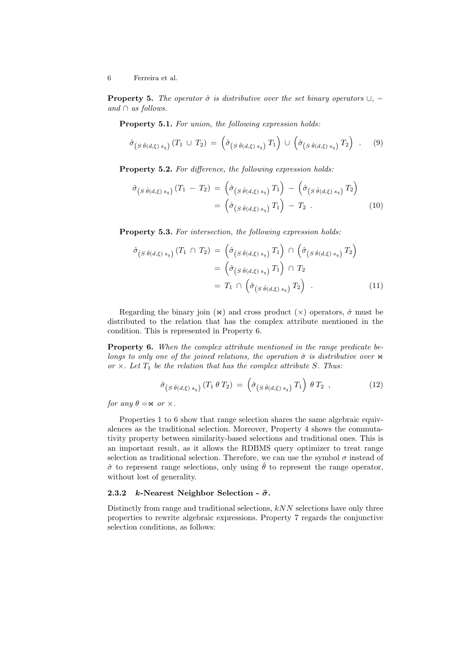**Property 5.** The operator  $\hat{\sigma}$  is distributive over the set binary operators  $\cup$ , − and  $\cap$  as follows.

Property 5.1. For union, the following expression holds:

$$
\hat{\sigma}_{(S \hat{\theta}(d,\xi) s_q)}(T_1 \cup T_2) = (\hat{\sigma}_{(S \hat{\theta}(d,\xi) s_q)}(T_1) \cup (\hat{\sigma}_{(S \hat{\theta}(d,\xi) s_q)}(T_2)).
$$
 (9)

Property 5.2. For difference, the following expression holds:

$$
\hat{\sigma}_{(S \hat{\theta}(d,\xi) s_q)}(T_1 - T_2) = (\hat{\sigma}_{(S \hat{\theta}(d,\xi) s_q)} T_1) - (\hat{\sigma}_{(S \hat{\theta}(d,\xi) s_q)} T_2) \n= (\hat{\sigma}_{(S \hat{\theta}(d,\xi) s_q)} T_1) - T_2.
$$
\n(10)

Property 5.3. For intersection, the following expression holds:

$$
\hat{\sigma}_{(S \hat{\theta}(d,\xi) s_q)}(T_1 \cap T_2) = \left(\hat{\sigma}_{(S \hat{\theta}(d,\xi) s_q)} T_1\right) \cap \left(\hat{\sigma}_{(S \hat{\theta}(d,\xi) s_q)} T_2\right)
$$

$$
= \left(\hat{\sigma}_{(S \hat{\theta}(d,\xi) s_q)} T_1\right) \cap T_2
$$

$$
= T_1 \cap \left(\hat{\sigma}_{(S \hat{\theta}(d,\xi) s_q)} T_2\right) . \tag{11}
$$

Regarding the binary join  $(\infty)$  and cross product  $(\times)$  operators,  $\hat{\sigma}$  must be distributed to the relation that has the complex attribute mentioned in the condition. This is represented in Property 6.

Property 6. When the complex attribute mentioned in the range predicate belongs to only one of the joined relations, the operation  $\hat{\sigma}$  is distributive over  $\bowtie$ or  $\times$ . Let  $T_1$  be the relation that has the complex attribute S. Thus:

$$
\hat{\sigma}_{\left(S\hat{\theta}(d,\xi)\,s_q\right)}\left(T_1\,\theta\,T_2\right) \,=\, \left(\hat{\sigma}_{\left(S\hat{\theta}(d,\xi)\,s_q\right)}\,T_1\right)\,\theta\,T_2 \, , \tag{12}
$$

for any  $\theta = \mathsf{M}$  or  $\times$ .

Properties 1 to 6 show that range selection shares the same algebraic equivalences as the traditional selection. Moreover, Property 4 shows the commutativity property between similarity-based selections and traditional ones. This is an important result, as it allows the RDBMS query optimizer to treat range selection as traditional selection. Therefore, we can use the symbol  $\sigma$  instead of  $\hat{\sigma}$  to represent range selections, only using  $\hat{\theta}$  to represent the range operator, without lost of generality.

## 2.3.2 k-Nearest Neighbor Selection -  $\ddot{\sigma}$ .

Distinctly from range and traditional selections,  $kNN$  selections have only three properties to rewrite algebraic expressions. Property 7 regards the conjunctive selection conditions, as follows: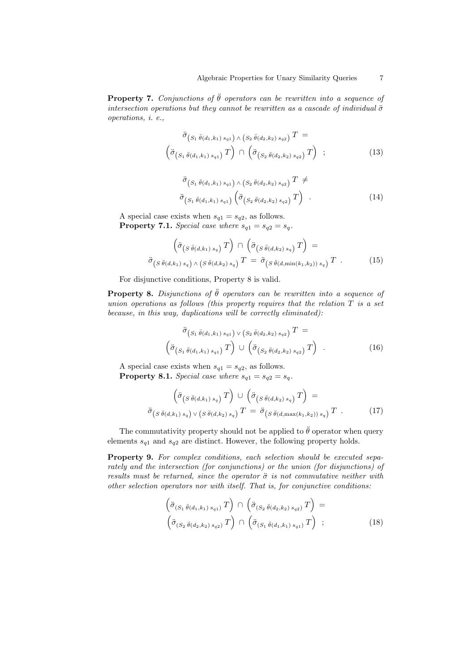**Property 7.** Conjunctions of  $\ddot{\theta}$  operators can be rewritten into a sequence of intersection operations but they cannot be rewritten as a cascade of individual  $\ddot{\sigma}$ operations, i. e.,

$$
\ddot{\sigma}_{(S_1 \ddot{\theta}(d_1,k_1) s_{q1}) \wedge (S_2 \ddot{\theta}(d_2,k_2) s_{q2})} T =
$$
\n
$$
\left( \ddot{\sigma}_{(S_1 \ddot{\theta}(d_1,k_1) s_{q1})} T \right) \cap \left( \ddot{\sigma}_{(S_2 \ddot{\theta}(d_2,k_2) s_{q2})} T \right) ; \qquad (13)
$$

$$
\ddot{\sigma}_{(S_1 \ddot{\theta}(d_1,k_1) s_{q1}) \wedge (S_2 \ddot{\theta}(d_2,k_2) s_{q2})} T \neq
$$
\n
$$
\ddot{\sigma}_{(S_1 \ddot{\theta}(d_1,k_1) s_{q1})} \left( \ddot{\sigma}_{(S_2 \ddot{\theta}(d_2,k_2) s_{q2})} T \right).
$$
\n(14)

A special case exists when  $s_{q1} = s_{q2}$ , as follows. **Property 7.1.** Special case where  $s_{q1} = s_{q2} = s_q$ .

$$
\left(\ddot{\sigma}_{(S\ddot{\theta}(d,k_1)s_q)}T\right) \cap \left(\ddot{\sigma}_{(S\ddot{\theta}(d,k_2)s_q)}T\right) =\n\ddot{\sigma}_{(S\ddot{\theta}(d,k_1)s_q)} \wedge \left(s\ddot{\theta}(d,k_2)s_q\right)T = \ddot{\sigma}_{(S\ddot{\theta}(d,\min(k_1,k_2))s_q)}T .
$$
\n(15)

For disjunctive conditions, Property 8 is valid.

**Property 8.** Disjunctions of  $\ddot{\theta}$  operators can be rewritten into a sequence of union operations as follows (this property requires that the relation  $T$  is a set because, in this way, duplications will be correctly eliminated):

$$
\ddot{\sigma}_{(S_1 \ddot{\theta}(d_1,k_1) s_{q1}) \vee (S_2 \ddot{\theta}(d_2,k_2) s_{q2})} T =
$$
\n
$$
\left( \ddot{\sigma}_{(S_1 \ddot{\theta}(d_1,k_1) s_{q1})} T \right) \cup \left( \ddot{\sigma}_{(S_2 \ddot{\theta}(d_2,k_2) s_{q2})} T \right) .
$$
\n(16)

A special case exists when  $s_{q1} = s_{q2}$ , as follows. **Property 8.1.** Special case where  $s_{q1} = s_{q2} = s_q$ .

 $\overline{\mathcal{L}}$ 

$$
\left(\ddot{\sigma}_{(S\ddot{\theta}(d,k_1)s_q)}T\right) \cup \left(\ddot{\sigma}_{(S\ddot{\theta}(d,k_2)s_q)}T\right) =\n\ddot{\sigma}_{(S\ddot{\theta}(d,k_1)s_q)} \vee (S\ddot{\theta}(d,k_2)s_q)}T = \ddot{\sigma}_{(S\ddot{\theta}(d,\max(k_1,k_2))s_q)}T.
$$
\n(17)

The commutativity property should not be applied to  $\ddot{\theta}$  operator when query elements  $s_{q1}$  and  $s_{q2}$  are distinct. However, the following property holds.

Property 9. For complex conditions, each selection should be executed separately and the intersection (for conjunctions) or the union (for disjunctions) of results must be returned, since the operator  $\ddot{\sigma}$  is not commutative neither with other selection operators nor with itself. That is, for conjunctive conditions:

$$
\left(\ddot{\sigma}_{(S_1 \ddot{\theta}(d_1,k_1) s_{q1})} T\right) \cap \left(\ddot{\sigma}_{(S_2 \ddot{\theta}(d_2,k_2) s_{q2})} T\right) =\n\left(\ddot{\sigma}_{(S_2 \ddot{\theta}(d_2,k_2) s_{q2})} T\right) \cap \left(\ddot{\sigma}_{(S_1 \ddot{\theta}(d_1,k_1) s_{q1})} T\right) ;
$$
\n(18)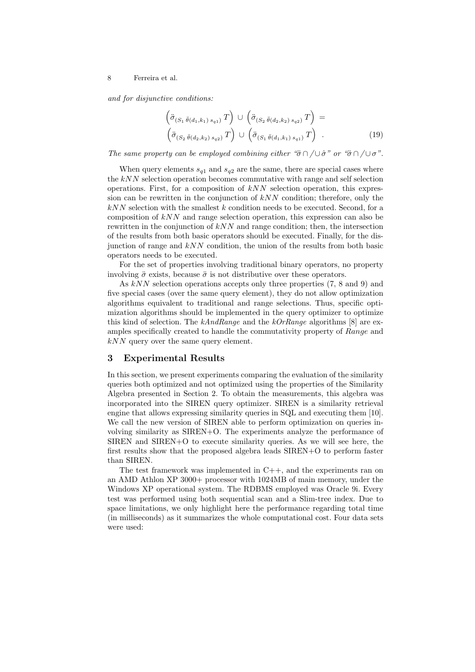and for disjunctive conditions:

$$
\left(\ddot{\sigma}_{(S_1 \ddot{\theta}(d_1,k_1) s_{q1})} T\right) \cup \left(\ddot{\sigma}_{(S_2 \ddot{\theta}(d_2,k_2) s_{q2})} T\right) =\n\left(\ddot{\sigma}_{(S_2 \ddot{\theta}(d_2,k_2) s_{q2})} T\right) \cup \left(\ddot{\sigma}_{(S_1 \ddot{\theta}(d_1,k_1) s_{q1})} T\right) .
$$
\n(19)

The same property can be employed combining either " $\ddot{\sigma} \cap / \cup \dot{\sigma}$ " or " $\ddot{\sigma} \cap / \cup \sigma$ ".

When query elements  $s_{q1}$  and  $s_{q2}$  are the same, there are special cases where the  $kNN$  selection operation becomes commutative with range and self selection operations. First, for a composition of  $kNN$  selection operation, this expression can be rewritten in the conjunction of  $kNN$  condition; therefore, only the  $kNN$  selection with the smallest k condition needs to be executed. Second, for a composition of kNN and range selection operation, this expression can also be rewritten in the conjunction of  $kNN$  and range condition; then, the intersection of the results from both basic operators should be executed. Finally, for the disjunction of range and  $kNN$  condition, the union of the results from both basic operators needs to be executed.

For the set of properties involving traditional binary operators, no property involving  $\ddot{\sigma}$  exists, because  $\ddot{\sigma}$  is not distributive over these operators.

As  $kNN$  selection operations accepts only three properties (7, 8 and 9) and five special cases (over the same query element), they do not allow optimization algorithms equivalent to traditional and range selections. Thus, specific optimization algorithms should be implemented in the query optimizer to optimize this kind of selection. The kAndRange and the kOrRange algorithms [8] are examples specifically created to handle the commutativity property of Range and kNN query over the same query element.

### 3 Experimental Results

In this section, we present experiments comparing the evaluation of the similarity queries both optimized and not optimized using the properties of the Similarity Algebra presented in Section 2. To obtain the measurements, this algebra was incorporated into the SIREN query optimizer. SIREN is a similarity retrieval engine that allows expressing similarity queries in SQL and executing them [10]. We call the new version of SIREN able to perform optimization on queries involving similarity as SIREN+O. The experiments analyze the performance of  $SIREN$  and  $SIREN+O$  to execute similarity queries. As we will see here, the first results show that the proposed algebra leads SIREN+O to perform faster than SIREN.

The test framework was implemented in  $C_{++}$ , and the experiments ran on an AMD Athlon XP 3000+ processor with 1024MB of main memory, under the Windows XP operational system. The RDBMS employed was Oracle 9i. Every test was performed using both sequential scan and a Slim-tree index. Due to space limitations, we only highlight here the performance regarding total time (in milliseconds) as it summarizes the whole computational cost. Four data sets were used: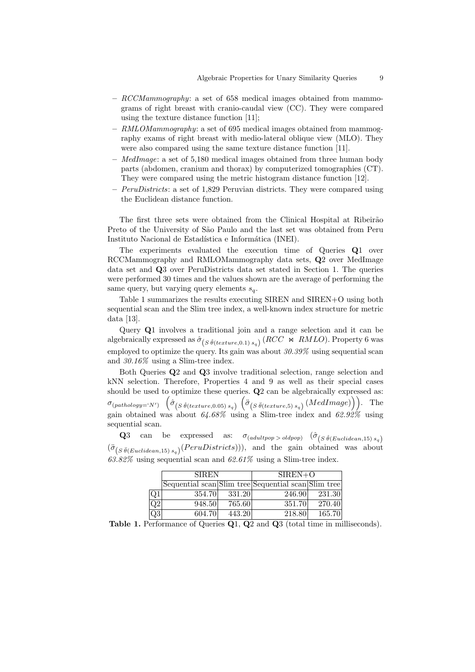- $-$  RCCMammography: a set of 658 medical images obtained from mammograms of right breast with cranio-caudal view (CC). They were compared using the texture distance function [11];
- $RMLOMammography$ : a set of 695 medical images obtained from mammography exams of right breast with medio-lateral oblique view (MLO). They were also compared using the same texture distance function [11].
- $-$  *MedImage*: a set of 5,180 medical images obtained from three human body parts (abdomen, cranium and thorax) by computerized tomographies (CT). They were compared using the metric histogram distance function [12].
- $-$  *PeruDistricts*: a set of 1,829 Peruvian districts. They were compared using the Euclidean distance function.

The first three sets were obtained from the Clinical Hospital at Ribeirão Preto of the University of São Paulo and the last set was obtained from Peru Instituto Nacional de Estadística e Informática (INEI).

The experiments evaluated the execution time of Queries Q1 over RCCMammography and RMLOMammography data sets, Q2 over MedImage data set and Q3 over PeruDistricts data set stated in Section 1. The queries were performed 30 times and the values shown are the average of performing the same query, but varying query elements  $s_q$ .

Table 1 summarizes the results executing SIREN and SIREN+O using both sequential scan and the Slim tree index, a well-known index structure for metric data [13].

Query Q1 involves a traditional join and a range selection and it can be algebraically expressed as  $\hat{\sigma}_{(S \hat{\theta}(texture,0.1) s_q)}(RCC \Join RMLO)$ . Property 6 was employed to optimize the query. Its gain was about  $30.39\%$  using sequential scan and 30.16% using a Slim-tree index.

Both Queries Q2 and Q3 involve traditional selection, range selection and kNN selection. Therefore, Properties 4 and 9 as well as their special cases should be used to optimize these queries.  $Q2$  can be algebraically expressed as:  $\sigma_{(pathology='N')}$   $\left(\hat{\sigma}_{(S \hat{\theta}(texture, 0.05) s_q)}\right)\left(\hat{\sigma}_{(S \hat{\theta}(texture, 5) s_q)}(MedImage)\right)$ . The gain obtained was about  $64.68\%$  using a Slim-tree index and  $62.92\%$  using sequential scan.

**Q**3 can be expressed as:  $\sigma_{(adultpop > oldpop)}$   $(\hat{\sigma}_{(S \hat{\theta}(Euclidean, 15) s_q)})$  $(\ddot{\sigma}_{(S\ddot{\theta}(Euclidean,15) s_q)}(Perubistricts)))$ , and the gain obtained was about  $63.82\%$  using sequential scan and  $62.61\%$  using a Slim-tree index.

|                 | <b>SIREN</b>                                        |        | $SIREN+O$ |        |
|-----------------|-----------------------------------------------------|--------|-----------|--------|
|                 | Sequential scan Slim tree Sequential scan Slim tree |        |           |        |
| Q <sub>1</sub>  | 354.70                                              | 331.20 | 246.90    | 231.30 |
| $\overline{Q2}$ | 948.50                                              | 765.60 | 351.70    | 270.40 |
| Q3              | 604.70                                              | 443.20 | 218.80    | 165.70 |

Table 1. Performance of Queries Q1, Q2 and Q3 (total time in milliseconds).